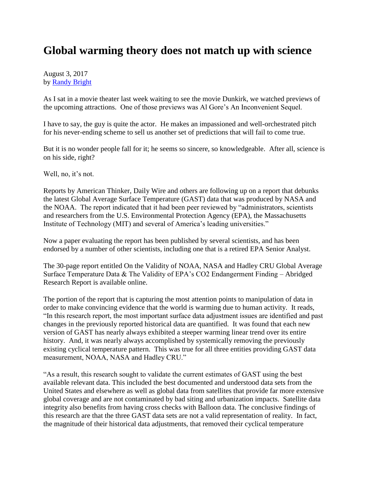## **Global warming theory does not match up with science**

August 3, 2017 by [Randy Bright](http://tulsabeacon.com/writers/randy-bright/)

As I sat in a movie theater last week waiting to see the movie Dunkirk, we watched previews of the upcoming attractions. One of those previews was Al Gore's An Inconvenient Sequel.

I have to say, the guy is quite the actor. He makes an impassioned and well-orchestrated pitch for his never-ending scheme to sell us another set of predictions that will fail to come true.

But it is no wonder people fall for it; he seems so sincere, so knowledgeable. After all, science is on his side, right?

Well, no, it's not.

Reports by American Thinker, Daily Wire and others are following up on a report that debunks the latest Global Average Surface Temperature (GAST) data that was produced by NASA and the NOAA. The report indicated that it had been peer reviewed by "administrators, scientists and researchers from the U.S. Environmental Protection Agency (EPA), the Massachusetts Institute of Technology (MIT) and several of America's leading universities."

Now a paper evaluating the report has been published by several scientists, and has been endorsed by a number of other scientists, including one that is a retired EPA Senior Analyst.

The 30-page report entitled On the Validity of NOAA, NASA and Hadley CRU Global Average Surface Temperature Data & The Validity of EPA's CO2 Endangerment Finding – Abridged Research Report is available online.

The portion of the report that is capturing the most attention points to manipulation of data in order to make convincing evidence that the world is warming due to human activity. It reads, "In this research report, the most important surface data adjustment issues are identified and past changes in the previously reported historical data are quantified. It was found that each new version of GAST has nearly always exhibited a steeper warming linear trend over its entire history. And, it was nearly always accomplished by systemically removing the previously existing cyclical temperature pattern. This was true for all three entities providing GAST data measurement, NOAA, NASA and Hadley CRU."

"As a result, this research sought to validate the current estimates of GAST using the best available relevant data. This included the best documented and understood data sets from the United States and elsewhere as well as global data from satellites that provide far more extensive global coverage and are not contaminated by bad siting and urbanization impacts. Satellite data integrity also benefits from having cross checks with Balloon data. The conclusive findings of this research are that the three GAST data sets are not a valid representation of reality. In fact, the magnitude of their historical data adjustments, that removed their cyclical temperature